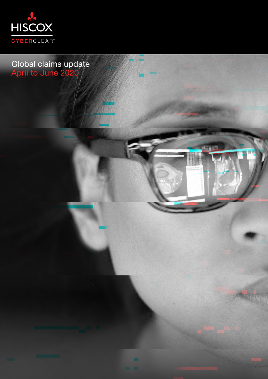

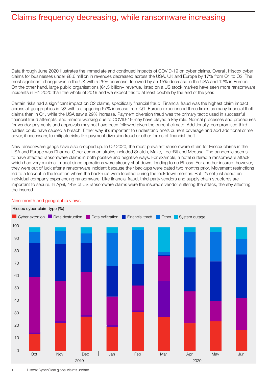# Claims frequency decreasing, while ransomware increasing

Data through June 2020 illustrates the immediate and continued impacts of COVID-19 on cyber claims. Overall, Hiscox cyber claims for businesses under €8.6 million in revenues decreased across the USA, UK and Europe by 17% from Q1 to Q2. The most significant change was in the UK with a 25% decrease, followed by an 15% decrease in the USA and 12% in Europe. On the other hand, large public organisations (€4.3 billion+ revenue, listed on a US stock market) have seen more ransomware incidents in H1 2020 than the whole of 2019 and we expect this to at least double by the end of the year.

Certain risks had a significant impact on Q2 claims, specifically financial fraud. Financial fraud was the highest claim impact across all geographies in Q2 with a staggering 67% increase from Q1. Europe experienced three times as many financial theft claims than in Q1, while the USA saw a 29% increase. Payment diversion fraud was the primary tactic used in successful financial fraud attempts, and remote working due to COVID-19 may have played a key role. Normal processes and procedures for vendor payments and approvals may not have been followed given the current climate. Additionally, compromised third parties could have caused a breach. Either way, it's important to understand one's current coverage and add additional crime cover, if necessary, to mitigate risks like payment diversion fraud or other forms of financial theft.

New ransomware gangs have also cropped up. In Q2 2020, the most prevalent ransomware strain for Hiscox claims in the USA and Europe was Dharma. Other common strains included Snatch, Maze, LockBit and Medusa. The pandemic seems to have affected ransomware claims in both positive and negative ways. For example, a hotel suffered a ransomware attack which had very minimal impact since operations were already shut down, leading to no BI loss. For another insured, however, they were out of luck after a ransomware incident because their backups were dated two months prior. Movement restrictions led to a lockout in the location where the back-ups were located during the lockdown months. But it's not just about an individual company experiencing ransomware. Like financial fraud, third-party vendors and supply chain structures are important to secure. In April, 44% of US ransomware claims were the insured's vendor suffering the attack, thereby affecting the insured.



### Nine-month and geographic views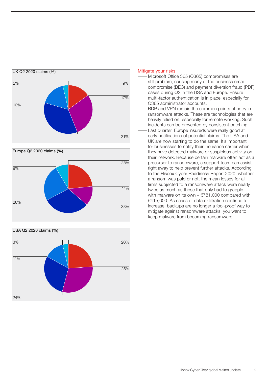

#### Mitigate your risks

Microsoft Office 365 (O365) compromises are still problem, causing many of the business email compromise (BEC) and payment diversion fraud (PDF) cases during Q2 in the USA and Europe. Ensure multi-factor authentication is in place, especially for O365 administrator accounts. RDP and VPN remain the common points of entry in ransomware attacks. These are technologies that are heavily relied on, especially for remote working. Such incidents can be prevented by consistent patching. Last quarter, Europe insureds were really good at early notifications of potential claims. The USA and UK are now starting to do the same. It's important for businesses to notify their insurance carrier when they have detected malware or suspicious activity on their network. Because certain malware often act as a precursor to ransomware, a support team can assist right away to help prevent further attacks. According to the Hiscox Cyber Readiness Report 2020, whether a ransom was paid or not, the mean losses for all firms subjected to a ransomware attack were nearly twice as much as those that only had to grapple with malware on its own –  $€781,000$  compared with €415,000. As cases of data exfiltration continue to increase, backups are no longer a fool-proof way to mitigate against ransomware attacks, you want to keep malware from becoming ransomware.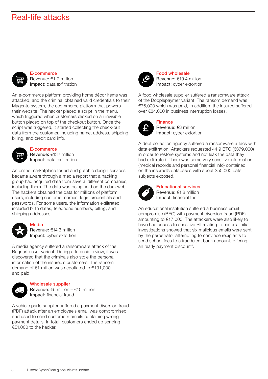### Real-life attacks



E-commerce Revenue: €1.7 million Impact: data exfiltration

An e-commerce platform providing home décor items was attacked, and the criminal obtained valid credentials to their Magento system, the ecommerce platform that powers their website. The hacker placed a script in the menu, which triggered when customers clicked on an invisible button placed on top of the checkout button. Once the script was triggered, it started collecting the check-out data from the customer, including name, address, shipping, billing, and credit card info.



E-commerce

Revenue: €132 million Impact: data exfiltration

An online marketplace for art and graphic design services became aware through a media report that a hacking group had acquired data from several different companies, including them. The data was being sold on the dark web. The hackers obtained the data for millions of platform users, including customer names, login credentials and passwords. For some users, the information exfiltrated included birth dates, telephone numbers, billing, and shipping addresses.



**Media** Revenue: €14.3 million Impact: cyber extortion

A media agency suffered a ransomware attack of the RagnarLocker variant. During a forensic review, it was discovered that the criminals also stole the personal information of the insured's customers. The ransom demand of €1 million was negotiated to €191,000 and paid.



#### Wholesale supplier

Revenue: €5 million – €10 million Impact: financial fraud

A vehicle parts supplier suffered a payment diversion fraud (PDF) attack after an employee's email was compromised and used to send customers emails containing wrong payment details. In total, customers ended up sending €51,000 to the hacker.



Food wholesale Revenue: €19.4 million Impact: cyber extortion

A food wholesale supplier suffered a ransomware attack of the Dopplepaymer variant. The ransom demand was €76,000 which was paid, In addition, the insured suffered over €84,000 in business interruption losses.



Finance Revenue: €3 million Impact: cyber extortion

A debt collection agency suffered a ransomware attack with data exfiltration. Attackers requested 44.9 BTC (€379,000) in order to restore systems and not leak the data they had exfiltrated. There was some very sensitive information (medical records and personal financial info) contained on the insured's databases with about 350,000 data subjects exposed.



Educational services Revenue: €1.8 million Impact: financial theft

An educational institution suffered a business email compromise (BEC) with payment diversion fraud (PDF) amounting to €17,000. The attackers were also likely to have had access to sensitive PII relating to minors. Initial investigations showed that six malicious emails were sent by the perpetrator attempting to convince recipients to send school fees to a fraudulent bank account, offering an 'early payment discount'.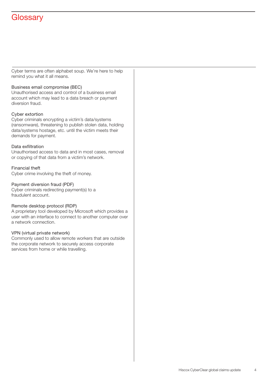# **Glossary**

Cyber terms are often alphabet soup. We're here to help remind you what it all means.

#### Business email compromise (BEC)

Unauthorised access and control of a business email account which may lead to a data breach or payment diversion fraud.

#### Cyber extortion

Cyber criminals encrypting a victim's data/systems (ransomware), threatening to publish stolen data, holding data/systems hostage, etc. until the victim meets their demands for payment.

#### Data exfiltration

Unauthorised access to data and in most cases, removal or copying of that data from a victim's network.

#### Financial theft

Cyber crime involving the theft of money.

#### Payment diversion fraud (PDF)

Cyber criminals redirecting payment(s) to a fraudulent account.

#### Remote desktop protocol (RDP)

A proprietary tool developed by Microsoft which provides a user with an interface to connect to another computer over a network connection.

#### VPN (virtual private network)

Commonly used to allow remote workers that are outside the corporate network to securely access corporate services from home or while travelling.